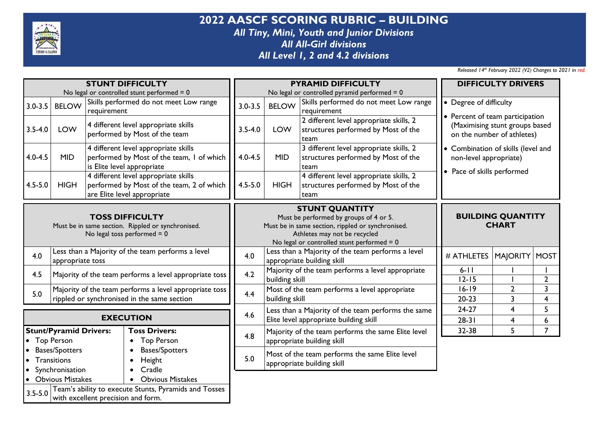

**2022 AASCF SCORING RUBRIC – BUILDING** *All Tiny, Mini, Youth and Junior Divisions All All-Girl divisions All Level 1, 2 and 4.2 divisions*

| <b>STUNT DIFFICULTY</b>                                                                                      |                                                                                    |                                    |                                                                                                                  |             |                                                                                                                                                                                                      | <b>PYRAMID DIFFICULTY</b>                                                                    | <b>DIFFICULTY DRIVERS</b>                                                                       |                              |                                           |  |
|--------------------------------------------------------------------------------------------------------------|------------------------------------------------------------------------------------|------------------------------------|------------------------------------------------------------------------------------------------------------------|-------------|------------------------------------------------------------------------------------------------------------------------------------------------------------------------------------------------------|----------------------------------------------------------------------------------------------|-------------------------------------------------------------------------------------------------|------------------------------|-------------------------------------------|--|
| No legal or controlled stunt performed $= 0$                                                                 |                                                                                    |                                    |                                                                                                                  |             | No legal or controlled pyramid performed $= 0$                                                                                                                                                       |                                                                                              |                                                                                                 |                              |                                           |  |
| $3.0 - 3.5$                                                                                                  | <b>BELOW</b>                                                                       | requirement                        | Skills performed do not meet Low range                                                                           | $3.0 - 3.5$ | Skills performed do not meet Low range<br><b>BELOW</b><br>requirement                                                                                                                                |                                                                                              | • Degree of difficulty                                                                          |                              |                                           |  |
| $3.5 - 4.0$                                                                                                  | LOW                                                                                |                                    | 4 different level appropriate skills<br>performed by Most of the team                                            | $3.5 - 4.0$ | 2 different level appropriate skills, 2<br><b>LOW</b><br>structures performed by Most of the<br>team                                                                                                 |                                                                                              | • Percent of team participation<br>(Maximising stunt groups based<br>on the number of athletes) |                              |                                           |  |
| $4.0 - 4.5$                                                                                                  | <b>MID</b>                                                                         |                                    | 4 different level appropriate skills<br>performed by Most of the team, I of which<br>is Elite level appropriate  | $4.0 - 4.5$ | 3 different level appropriate skills, 2<br><b>MID</b><br>structures performed by Most of the<br>team                                                                                                 |                                                                                              | • Combination of skills (level and<br>non-level appropriate)                                    |                              |                                           |  |
| $4.5 - 5.0$                                                                                                  | <b>HIGH</b>                                                                        |                                    | 4 different level appropriate skills<br>performed by Most of the team, 2 of which<br>are Elite level appropriate | $4.5 - 5.0$ | 4 different level appropriate skills, 2<br><b>HIGH</b><br>structures performed by Most of the<br>team                                                                                                |                                                                                              | • Pace of skills performed                                                                      |                              |                                           |  |
| <b>TOSS DIFFICULTY</b><br>Must be in same section. Rippled or synchronised.<br>No legal toss performed $= 0$ |                                                                                    |                                    |                                                                                                                  |             | <b>STUNT QUANTITY</b><br>Must be performed by groups of 4 or 5.<br>Must be in same section, rippled or synchronised.<br>Athletes may not be recycled<br>No legal or controlled stunt performed $= 0$ |                                                                                              | <b>BUILDING QUANTITY</b><br><b>CHART</b>                                                        |                              |                                           |  |
| 4.0                                                                                                          | appropriate toss                                                                   |                                    | Less than a Majority of the team performs a level                                                                | 4.0         |                                                                                                                                                                                                      | Less than a Majority of the team performs a level<br>appropriate building skill              | # ATHLETES                                                                                      | <b>MAJORITY</b>              | MOST                                      |  |
| 4.5                                                                                                          |                                                                                    |                                    | Majority of the team performs a level appropriate toss                                                           | 4.2         | Majority of the team performs a level appropriate<br>building skill                                                                                                                                  |                                                                                              |                                                                                                 |                              | $\overline{2}$                            |  |
| 5.0                                                                                                          |                                                                                    |                                    | Majority of the team performs a level appropriate toss<br>rippled or synchronised in the same section            | 4.4         | building skill                                                                                                                                                                                       | Most of the team performs a level appropriate                                                | $16 - 19$<br>$20 - 23$                                                                          | $\mathbf{2}$<br>3            | $\overline{3}$<br>$\overline{\mathbf{4}}$ |  |
|                                                                                                              |                                                                                    |                                    | <b>EXECUTION</b>                                                                                                 | 4.6         |                                                                                                                                                                                                      | Less than a Majority of the team performs the same<br>Elite level appropriate building skill | $24-27$<br>$28-31$                                                                              | 4<br>$\overline{\mathbf{4}}$ | 5<br>6                                    |  |
|                                                                                                              | <b>Stunt/Pyramid Drivers:</b><br><b>Top Person</b>                                 |                                    | <b>Toss Drivers:</b><br><b>Top Person</b>                                                                        | 4.8         | Majority of the team performs the same Elite level<br>appropriate building skill                                                                                                                     |                                                                                              | 32-38                                                                                           | 5                            | $\overline{7}$                            |  |
| $\bullet$<br>$\bullet$                                                                                       | <b>Bases/Spotters</b><br>Transitions                                               |                                    | <b>Bases/Spotters</b><br>Height<br>$\bullet$<br>Cradle                                                           | 5.0         | Most of the team performs the same Elite level<br>appropriate building skill                                                                                                                         |                                                                                              |                                                                                                 |                              |                                           |  |
| $\bullet$                                                                                                    | Synchronisation<br><b>Obvious Mistakes</b><br><b>Obvious Mistakes</b><br>$\bullet$ |                                    |                                                                                                                  |             |                                                                                                                                                                                                      |                                                                                              |                                                                                                 |                              |                                           |  |
| $3.5 - 5.0$                                                                                                  |                                                                                    | with excellent precision and form. | Team's ability to execute Stunts, Pyramids and Tosses                                                            |             |                                                                                                                                                                                                      |                                                                                              |                                                                                                 |                              |                                           |  |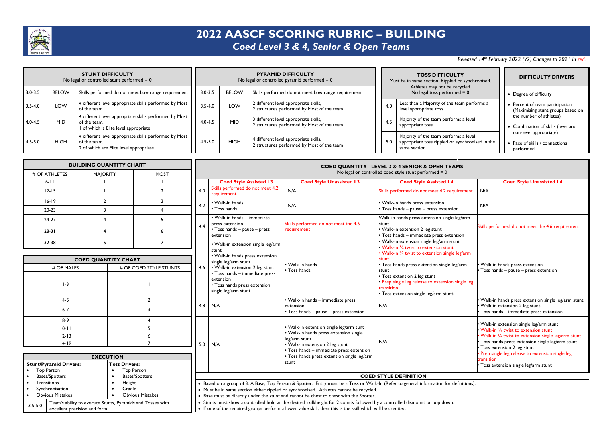

# **2022 AASCF SCORING RUBRIC – BUILDING**

#### *Coed Level 3 & 4, Senior & Open Teams*

#### *Released 14th February 2022 (V2) Changes to 2021 in red.*

| <b>STUNT DIFFICULTY</b><br>No legal or controlled stunt performed $= 0$ |              |                                                                                                                  | <b>PYRAMID DIFFICULTY</b><br>No legal or controlled pyramid performed $= 0$ |              |                                                                                     | <b>TOSS DIFFICULTY</b><br>Must be in same section. Rippled or synchronised. |                                                               |                                                                                                          | <b>DIFFICULTY DRIVERS</b>                                                                                                              |  |
|-------------------------------------------------------------------------|--------------|------------------------------------------------------------------------------------------------------------------|-----------------------------------------------------------------------------|--------------|-------------------------------------------------------------------------------------|-----------------------------------------------------------------------------|---------------------------------------------------------------|----------------------------------------------------------------------------------------------------------|----------------------------------------------------------------------------------------------------------------------------------------|--|
| $3.0 - 3.5$                                                             | <b>BELOW</b> | Skills performed do not meet Low range requirement                                                               | $3.0 - 3.5$                                                                 | <b>BELOW</b> | Skills performed do not meet Low range requirement                                  |                                                                             | Athletes may not be recycled<br>No legal toss performed $= 0$ |                                                                                                          | • Degree of difficulty                                                                                                                 |  |
| $3.5 - 4.0$                                                             | LOW          | 4 different level appropriate skills performed by Most<br>of the team                                            | $3.5 - 4.0$                                                                 | LOW          | 2 different level appropriate skills,<br>2 structures performed by Most of the team |                                                                             | 4.0                                                           | Less than a Majority of the team performs a<br>level appropriate toss                                    | • Percent of team participation<br>(Maximising stunt groups based on                                                                   |  |
| $4.0 - 4.5$                                                             | <b>MID</b>   | 4 different level appropriate skills performed by Most<br>of the team.<br>I of which is Elite level appropriate  | $4.0 - 4.5$                                                                 | <b>MID</b>   | 3 different level appropriate skills,<br>2 structures performed by Most of the team |                                                                             | 4.5                                                           | Majority of the team performs a level<br>appropriate toss                                                | the number of athletes)<br>• Combination of skills (level and<br>non-level appropriate)<br>• Pace of skills / connections<br>performed |  |
| $4.5 - 5.0$                                                             | <b>HIGH</b>  | 4 different level appropriate skills performed by Most<br>of the team.<br>2 of which are Elite level appropriate | 4.5-5.0                                                                     | <b>HIGH</b>  | 4 different level appropriate skills,<br>2 structures performed by Most of the team |                                                                             | 5.0                                                           | Majority of the team performs a level<br>appropriate toss rippled or synchronised in the<br>same section |                                                                                                                                        |  |

| <b>BUILDING QUANTITY CHART</b>                                                                             |                            |                        |                         | <b>COED QUANTITY - LEVEL 3 &amp; 4 SENIOR &amp; OPEN TEAMS</b>                                                                                                                                                                              |                                                 |                                                                                     |                                                                                                                                        |                                                                           |     |                                                                                  |     |                                                                                 |                             |                                                      |                                                                       |
|------------------------------------------------------------------------------------------------------------|----------------------------|------------------------|-------------------------|---------------------------------------------------------------------------------------------------------------------------------------------------------------------------------------------------------------------------------------------|-------------------------------------------------|-------------------------------------------------------------------------------------|----------------------------------------------------------------------------------------------------------------------------------------|---------------------------------------------------------------------------|-----|----------------------------------------------------------------------------------|-----|---------------------------------------------------------------------------------|-----------------------------|------------------------------------------------------|-----------------------------------------------------------------------|
| # OF ATHLETES                                                                                              | <b>MAJORITY</b>            |                        | <b>MOST</b>             |                                                                                                                                                                                                                                             |                                                 |                                                                                     | No legal or controlled coed style stunt performed $= 0$                                                                                |                                                                           |     |                                                                                  |     |                                                                                 |                             |                                                      |                                                                       |
| $6 - 11$                                                                                                   |                            |                        |                         |                                                                                                                                                                                                                                             | <b>Coed Style Assisted L3</b>                   | <b>Coed Style Unassisted L3</b>                                                     | <b>Coed Style Assisted L4</b>                                                                                                          | <b>Coed Style Unassisted L4</b>                                           |     |                                                                                  |     |                                                                                 |                             |                                                      |                                                                       |
| $12 - 15$                                                                                                  |                            |                        | $\overline{2}$          | 4.0                                                                                                                                                                                                                                         | Skills performed do not meet 4.2<br>requirement | N/A                                                                                 | Skills performed do not meet 4.2 requirement                                                                                           | N/A                                                                       |     |                                                                                  |     |                                                                                 |                             |                                                      |                                                                       |
| $16 - 19$                                                                                                  | $\overline{2}$             |                        | 3                       |                                                                                                                                                                                                                                             | • Walk-in hands                                 | N/A                                                                                 | • Walk-in hands press extension                                                                                                        |                                                                           |     |                                                                                  |     |                                                                                 |                             |                                                      |                                                                       |
| 20-23                                                                                                      | $\overline{\mathbf{3}}$    |                        | $\overline{\mathbf{4}}$ | 4.2                                                                                                                                                                                                                                         | • Toss hands                                    |                                                                                     | • Toss hands - pause - press extension                                                                                                 | N/A                                                                       |     |                                                                                  |     |                                                                                 |                             |                                                      |                                                                       |
| 24-27                                                                                                      | $\overline{4}$             |                        | 5                       |                                                                                                                                                                                                                                             | • Walk-in hands - immediate<br>press extension  | Skills performed do not meet the 4.6                                                | Walk-in hands press extension single leg/arm<br>stunt                                                                                  |                                                                           |     |                                                                                  |     |                                                                                 |                             |                                                      |                                                                       |
| $28-31$                                                                                                    |                            |                        | 6                       | 4.4                                                                                                                                                                                                                                         | • Toss hands - pause - press<br>extension       | requirement                                                                         | • Walk-in extension 2 leg stunt<br>• Toss hands - immediate press extension                                                            | Skills performed do not meet the 4.6 requirement                          |     |                                                                                  |     |                                                                                 |                             |                                                      |                                                                       |
| 32-38                                                                                                      | 5                          |                        | $\overline{7}$          |                                                                                                                                                                                                                                             | • Walk-in extension single leg/arm              |                                                                                     | • Walk-in extension single leg/arm stunt<br>• Walk-in 3/4 twist to extension stunt                                                     |                                                                           |     |                                                                                  |     |                                                                                 |                             |                                                      |                                                                       |
|                                                                                                            |                            |                        |                         |                                                                                                                                                                                                                                             | stunt<br>• Walk-in hands press extension        |                                                                                     | • Walk-in 3/4 twist to extension single leg/arm                                                                                        |                                                                           |     |                                                                                  |     |                                                                                 |                             |                                                      |                                                                       |
|                                                                                                            | <b>COED QUANTITY CHART</b> |                        |                         |                                                                                                                                                                                                                                             | single leg/arm stunt                            |                                                                                     | stunt                                                                                                                                  |                                                                           |     |                                                                                  |     |                                                                                 |                             |                                                      |                                                                       |
| # OF MALES                                                                                                 |                            | # OF COED STYLE STUNTS |                         |                                                                                                                                                                                                                                             |                                                 |                                                                                     |                                                                                                                                        |                                                                           |     |                                                                                  | 4.6 | • Walk-in extension 2 leg stunt                                                 | Walk-in hands<br>Toss hands | • Toss hands press extension single leg/arm<br>stunt | Walk-in hands press extension<br>Toss hands - pause - press extension |
|                                                                                                            |                            |                        |                         |                                                                                                                                                                                                                                             | • Toss hands - immediate press<br>extension     |                                                                                     | • Toss extension 2 leg stunt<br>• Prep single leg release to extension single leg                                                      |                                                                           |     |                                                                                  |     |                                                                                 |                             |                                                      |                                                                       |
| $1-3$                                                                                                      |                            |                        |                         | • Toss hands press extension<br>single leg/arm stunt                                                                                                                                                                                        |                                                 |                                                                                     | transition<br>• Toss extension single leg/arm stunt                                                                                    |                                                                           |     |                                                                                  |     |                                                                                 |                             |                                                      |                                                                       |
| $4 - 5$                                                                                                    |                            |                        | $\overline{2}$          |                                                                                                                                                                                                                                             |                                                 | Walk-in hands - immediate press                                                     |                                                                                                                                        | Walk-in hands press extension single leg/arm stunt                        |     |                                                                                  |     |                                                                                 |                             |                                                      |                                                                       |
| $6 - 7$                                                                                                    |                            |                        | 3                       | 4.8<br>N/A                                                                                                                                                                                                                                  |                                                 | extension<br>Toss hands - pause - press extension                                   | N/A                                                                                                                                    | · Walk-in extension 2 leg stunt<br>Toss hands - immediate press extension |     |                                                                                  |     |                                                                                 |                             |                                                      |                                                                       |
| $8-9$                                                                                                      |                            |                        | $\overline{\mathbf{4}}$ |                                                                                                                                                                                                                                             |                                                 |                                                                                     |                                                                                                                                        |                                                                           |     |                                                                                  |     |                                                                                 |                             |                                                      |                                                                       |
| $10 - 11$                                                                                                  | 5                          |                        |                         |                                                                                                                                                                                                                                             |                                                 |                                                                                     |                                                                                                                                        | Walk-in extension single leg/arm sunt                                     |     | · Walk-in extension single leg/arm stunt<br>Walk-in 3/4 twist to extension stunt |     |                                                                                 |                             |                                                      |                                                                       |
| $12 - 13$                                                                                                  |                            | 6                      |                         |                                                                                                                                                                                                                                             |                                                 | Walk-in hands press extension single<br>eg/arm stunt                                |                                                                                                                                        | Walk-in 3/4 twist to extension single leg/arm stunt                       |     |                                                                                  |     |                                                                                 |                             |                                                      |                                                                       |
|                                                                                                            | $\overline{7}$             |                        |                         |                                                                                                                                                                                                                                             | $14-19$                                         |                                                                                     |                                                                                                                                        |                                                                           | N/A | Walk-in extension 2 leg stunt                                                    | N/A | Toss hands press extension single leg/arm stunt<br>· Toss extension 2 leg stunt |                             |                                                      |                                                                       |
|                                                                                                            |                            | <b>EXECUTION</b>       |                         |                                                                                                                                                                                                                                             |                                                 | Toss hands - immediate press extension<br>Toss hands press extension single leg/arm |                                                                                                                                        | Prep single leg release to extension single leg                           |     |                                                                                  |     |                                                                                 |                             |                                                      |                                                                       |
| <b>Stunt/Pyramid Drivers:</b>                                                                              |                            | <b>Toss Drivers:</b>   |                         |                                                                                                                                                                                                                                             |                                                 | stunt                                                                               |                                                                                                                                        | transition                                                                |     |                                                                                  |     |                                                                                 |                             |                                                      |                                                                       |
| <b>Top Person</b><br>$\bullet$                                                                             |                            | <b>Top Person</b>      |                         |                                                                                                                                                                                                                                             |                                                 |                                                                                     |                                                                                                                                        | · Toss extension single leg/arm stunt                                     |     |                                                                                  |     |                                                                                 |                             |                                                      |                                                                       |
| <b>Bases/Spotters</b>                                                                                      | $\bullet$                  |                        | <b>Bases/Spotters</b>   |                                                                                                                                                                                                                                             |                                                 |                                                                                     | <b>COED STYLE DEFINITION</b>                                                                                                           |                                                                           |     |                                                                                  |     |                                                                                 |                             |                                                      |                                                                       |
| Transitions                                                                                                | $\bullet$                  | Height                 |                         |                                                                                                                                                                                                                                             |                                                 |                                                                                     | . Based on a group of 3. A Base, Top Person & Spotter. Entry must be a Toss or Walk-In (Refer to general information for definitions). |                                                                           |     |                                                                                  |     |                                                                                 |                             |                                                      |                                                                       |
| Synchronisation                                                                                            | $\bullet$                  | Cradle                 |                         | • Must be in same section either rippled or synchronised. Athletes cannot be recycled.                                                                                                                                                      |                                                 |                                                                                     |                                                                                                                                        |                                                                           |     |                                                                                  |     |                                                                                 |                             |                                                      |                                                                       |
| <b>Obvious Mistakes</b><br>$\bullet$                                                                       |                            |                        | <b>Obvious Mistakes</b> | • Base must be directly under the stunt and cannot be chest to chest with the Spotter.                                                                                                                                                      |                                                 |                                                                                     |                                                                                                                                        |                                                                           |     |                                                                                  |     |                                                                                 |                             |                                                      |                                                                       |
| Team's ability to execute Stunts, Pyramids and Tosses with<br>$3.5 - 5.0$<br>excellent precision and form. |                            |                        |                         | . Stunts must show a controlled hold at the desired skill/height for 2 counts followed by a controlled dismount or pop down.<br>• If one of the required groups perform a lower value skill, then this is the skill which will be credited. |                                                 |                                                                                     |                                                                                                                                        |                                                                           |     |                                                                                  |     |                                                                                 |                             |                                                      |                                                                       |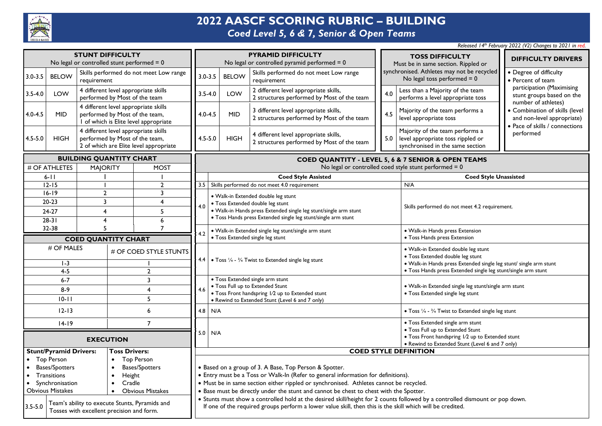

## **2022 AASCF SCORING RUBRIC – BUILDING**

### *Coed Level 5, 6 & 7, Senior & Open Teams*

| <b>STUNT DIFFICULTY</b><br>No legal or controlled stunt performed $= 0$ |                                                                                             |                                                                                                                  | <b>PYRAMID DIFFICULTY</b><br>No legal or controlled pyramid performed $= 0$ |                                                                                                                                                                                                                                           |                                                                                                                                             |                                                                                                      |                                                                                        | <b>TOSS DIFFICULTY</b><br>Must be in same section. Rippled or                | <b>DIFFICULTY DRIVERS</b>                                                                                                          |                                                                                                          |                                                                                                |  |
|-------------------------------------------------------------------------|---------------------------------------------------------------------------------------------|------------------------------------------------------------------------------------------------------------------|-----------------------------------------------------------------------------|-------------------------------------------------------------------------------------------------------------------------------------------------------------------------------------------------------------------------------------------|---------------------------------------------------------------------------------------------------------------------------------------------|------------------------------------------------------------------------------------------------------|----------------------------------------------------------------------------------------|------------------------------------------------------------------------------|------------------------------------------------------------------------------------------------------------------------------------|----------------------------------------------------------------------------------------------------------|------------------------------------------------------------------------------------------------|--|
| $3.0 - 3.5$                                                             | <b>BELOW</b>                                                                                | Skills performed do not meet Low range<br>requirement                                                            |                                                                             |                                                                                                                                                                                                                                           | $3.0 - 3.5$                                                                                                                                 | <b>BELOW</b>                                                                                         | Skills performed do not meet Low range<br>requirement                                  |                                                                              |                                                                                                                                    | synchronised. Athletes may not be recycled<br>No legal toss performed $= 0$                              | • Degree of difficulty<br>• Percent of team                                                    |  |
| $3.5 - 4.0$                                                             | LOW                                                                                         | 4 different level appropriate skills<br>performed by Most of the team                                            |                                                                             |                                                                                                                                                                                                                                           | $3.5 - 4.0$                                                                                                                                 | LOW                                                                                                  | 2 different level appropriate skills,<br>2 structures performed by Most of the team    | Less than a Majority of the team<br>4.0<br>performs a level appropriate toss |                                                                                                                                    |                                                                                                          | participation (Maximising<br>stunt groups based on the<br>number of athletes)                  |  |
| $4.0 - 4.5$                                                             | <b>MID</b>                                                                                  | 4 different level appropriate skills<br>performed by Most of the team,<br>I of which is Elite level appropriate  |                                                                             |                                                                                                                                                                                                                                           | $4.0 - 4.5$                                                                                                                                 | <b>MID</b>                                                                                           | 3 different level appropriate skills,<br>2 structures performed by Most of the team    | Majority of the team performs a<br>4.5<br>level appropriate toss             |                                                                                                                                    |                                                                                                          | • Combination of skills (level<br>and non-level appropriate)<br>• Pace of skills / connections |  |
| 4.5-5.0                                                                 | <b>HIGH</b>                                                                                 | 4 different level appropriate skills<br>performed by Most of the team,<br>2 of which are Elite level appropriate |                                                                             |                                                                                                                                                                                                                                           | $4.5 - 5.0$                                                                                                                                 | <b>HIGH</b>                                                                                          | 4 different level appropriate skills,<br>2 structures performed by Most of the team    |                                                                              | 5.0                                                                                                                                | Majority of the team performs a<br>level appropriate toss rippled or<br>synchronised in the same section | performed                                                                                      |  |
|                                                                         |                                                                                             | <b>BUILDING QUANTITY CHART</b>                                                                                   |                                                                             |                                                                                                                                                                                                                                           |                                                                                                                                             |                                                                                                      |                                                                                        |                                                                              |                                                                                                                                    | COED QUANTITY - LEVEL 5, 6 & 7 SENIOR & OPEN TEAMS                                                       |                                                                                                |  |
|                                                                         | # OF ATHLETES                                                                               | <b>MAJORITY</b>                                                                                                  |                                                                             | <b>MOST</b>                                                                                                                                                                                                                               |                                                                                                                                             |                                                                                                      |                                                                                        |                                                                              |                                                                                                                                    | No legal or controlled coed style stunt performed $= 0$                                                  |                                                                                                |  |
|                                                                         | $6 - 11$                                                                                    |                                                                                                                  |                                                                             |                                                                                                                                                                                                                                           |                                                                                                                                             |                                                                                                      | <b>Coed Style Assisted</b>                                                             |                                                                              |                                                                                                                                    | <b>Coed Style Unassisted</b>                                                                             |                                                                                                |  |
|                                                                         | $12 - 15$                                                                                   |                                                                                                                  |                                                                             | $\overline{2}$                                                                                                                                                                                                                            |                                                                                                                                             |                                                                                                      | 3.5 Skills performed do not meet 4.0 requirement                                       |                                                                              |                                                                                                                                    | N/A                                                                                                      |                                                                                                |  |
|                                                                         | $16 - 19$                                                                                   | $\overline{2}$<br>$\overline{3}$                                                                                 |                                                                             | 3<br>$\overline{\mathbf{4}}$                                                                                                                                                                                                              |                                                                                                                                             |                                                                                                      | · Walk-in Extended double leg stunt                                                    |                                                                              |                                                                                                                                    |                                                                                                          |                                                                                                |  |
|                                                                         | $20 - 23$<br>24-27<br>$\overline{4}$                                                        |                                                                                                                  | 5                                                                           | 4.0                                                                                                                                                                                                                                       |                                                                                                                                             | • Toss Extended double leg stunt<br>· Walk-in Hands press Extended single leg stunt/single arm stunt |                                                                                        |                                                                              | Skills performed do not meet 4.2 requirement.                                                                                      |                                                                                                          |                                                                                                |  |
|                                                                         | $28-31$                                                                                     | $\overline{\mathbf{4}}$                                                                                          |                                                                             | 6                                                                                                                                                                                                                                         |                                                                                                                                             |                                                                                                      | • Toss Hands press Extended single leg stunt/single arm stunt                          |                                                                              |                                                                                                                                    |                                                                                                          |                                                                                                |  |
|                                                                         | 32-38                                                                                       | 5                                                                                                                |                                                                             | $\overline{7}$                                                                                                                                                                                                                            |                                                                                                                                             |                                                                                                      | • Walk-in Extended single leg stunt/single arm stunt                                   | · Walk-in Hands press Extension                                              |                                                                                                                                    |                                                                                                          |                                                                                                |  |
|                                                                         |                                                                                             |                                                                                                                  |                                                                             |                                                                                                                                                                                                                                           | 4.2                                                                                                                                         | · Toss Extended single leg stunt                                                                     |                                                                                        |                                                                              |                                                                                                                                    | • Toss Hands press Extension                                                                             |                                                                                                |  |
|                                                                         | <b>COED QUANTITY CHART</b><br># OF MALES<br># OF COED STYLE STUNTS                          |                                                                                                                  |                                                                             | 4.4 $\bullet$ Toss $\frac{1}{4}$ - $\frac{3}{4}$ Twist to Extended single leg stunt                                                                                                                                                       |                                                                                                                                             |                                                                                                      | · Walk-in Extended double leg stunt<br>• Toss Extended double leg stunt                |                                                                              |                                                                                                                                    |                                                                                                          |                                                                                                |  |
|                                                                         | $1-3$<br>$4 - 5$                                                                            |                                                                                                                  | $\overline{2}$                                                              |                                                                                                                                                                                                                                           |                                                                                                                                             |                                                                                                      |                                                                                        |                                                                              | · Walk-in Hands press Extended single leg stunt/ single arm stunt<br>· Toss Hands press Extended single leg stunt/single arm stunt |                                                                                                          |                                                                                                |  |
|                                                                         | $6 - 7$                                                                                     |                                                                                                                  | 3                                                                           |                                                                                                                                                                                                                                           | • Toss Extended single arm stunt                                                                                                            |                                                                                                      |                                                                                        | · Walk-in Extended single leg stunt/single arm stunt                         |                                                                                                                                    |                                                                                                          |                                                                                                |  |
|                                                                         | $8-9$                                                                                       |                                                                                                                  | $\overline{4}$                                                              |                                                                                                                                                                                                                                           | . Toss Full up to Extended Stunt<br>4.6                                                                                                     |                                                                                                      |                                                                                        |                                                                              |                                                                                                                                    |                                                                                                          |                                                                                                |  |
|                                                                         | $10 - 11$                                                                                   |                                                                                                                  | 5                                                                           |                                                                                                                                                                                                                                           | • Toss Front handspring I/2 up to Extended stunt<br>• Rewind to Extended Stunt (Level 6 and 7 only)                                         |                                                                                                      |                                                                                        | • Toss Extended single leg stunt                                             |                                                                                                                                    |                                                                                                          |                                                                                                |  |
|                                                                         | $12 - 13$                                                                                   |                                                                                                                  | 6                                                                           |                                                                                                                                                                                                                                           | $4.8$ N/A                                                                                                                                   |                                                                                                      |                                                                                        |                                                                              |                                                                                                                                    | • Toss 1/4 - 3/4 Twist to Extended single leg stunt                                                      |                                                                                                |  |
|                                                                         | $14-19$                                                                                     |                                                                                                                  | $\overline{7}$                                                              |                                                                                                                                                                                                                                           | $5.0$ N/A                                                                                                                                   |                                                                                                      |                                                                                        | • Toss Extended single arm stunt<br>• Toss Full up to Extended Stunt         |                                                                                                                                    |                                                                                                          |                                                                                                |  |
|                                                                         | <b>EXECUTION</b>                                                                            |                                                                                                                  |                                                                             |                                                                                                                                                                                                                                           |                                                                                                                                             | • Toss Front handspring I/2 up to Extended stunt<br>• Rewind to Extended Stunt (Level 6 and 7 only)  |                                                                                        |                                                                              |                                                                                                                                    |                                                                                                          |                                                                                                |  |
|                                                                         | <b>Stunt/Pyramid Drivers:</b><br><b>Toss Drivers:</b>                                       |                                                                                                                  |                                                                             |                                                                                                                                                                                                                                           |                                                                                                                                             |                                                                                                      |                                                                                        | <b>COED STYLE DEFINITION</b>                                                 |                                                                                                                                    |                                                                                                          |                                                                                                |  |
|                                                                         | • Top Person<br><b>Top Person</b>                                                           |                                                                                                                  |                                                                             |                                                                                                                                                                                                                                           |                                                                                                                                             |                                                                                                      |                                                                                        |                                                                              |                                                                                                                                    |                                                                                                          |                                                                                                |  |
|                                                                         | • Bases/Spotters<br><b>Bases/Spotters</b><br>Transitions<br>Height                          |                                                                                                                  |                                                                             |                                                                                                                                                                                                                                           | • Based on a group of 3. A Base, Top Person & Spotter.<br>• Entry must be a Toss or Walk-In (Refer to general information for definitions). |                                                                                                      |                                                                                        |                                                                              |                                                                                                                                    |                                                                                                          |                                                                                                |  |
|                                                                         | • Synchronisation                                                                           |                                                                                                                  | Cradle                                                                      |                                                                                                                                                                                                                                           |                                                                                                                                             |                                                                                                      | · Must be in same section either rippled or synchronised. Athletes cannot be recycled. |                                                                              |                                                                                                                                    |                                                                                                          |                                                                                                |  |
|                                                                         | <b>Obvious Mistakes</b>                                                                     | $\bullet$                                                                                                        | <b>Obvious Mistakes</b>                                                     |                                                                                                                                                                                                                                           | . Base must be directly under the stunt and cannot be chest to chest with the Spotter.                                                      |                                                                                                      |                                                                                        |                                                                              |                                                                                                                                    |                                                                                                          |                                                                                                |  |
| $3.5 - 5.0$                                                             | Team's ability to execute Stunts, Pyramids and<br>Tosses with excellent precision and form. |                                                                                                                  |                                                                             | . Stunts must show a controlled hold at the desired skill/height for 2 counts followed by a controlled dismount or pop down.<br>If one of the required groups perform a lower value skill, then this is the skill which will be credited. |                                                                                                                                             |                                                                                                      |                                                                                        |                                                                              |                                                                                                                                    |                                                                                                          |                                                                                                |  |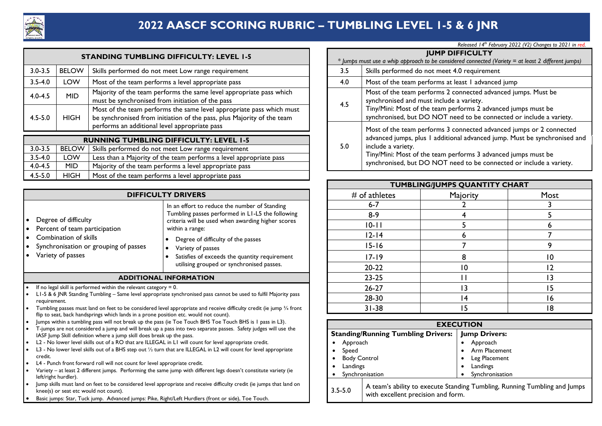

### **2022 AASCF SCORING RUBRIC – TUMBLING LEVEL 1-5 & 6 JNR**

|             |              | <b>STANDING TUMBLING DIFFICULTY: LEVEL 1-5</b>                                                                                                 |     | <b>JUMP DIFFICULTY</b><br>* Jumps must use a whip approach to be considered connected (Variety = at least 2 different jun                  |  |
|-------------|--------------|------------------------------------------------------------------------------------------------------------------------------------------------|-----|--------------------------------------------------------------------------------------------------------------------------------------------|--|
| $3.0 - 3.5$ | <b>BELOW</b> | Skills performed do not meet Low range requirement                                                                                             | 3.5 | Skills performed do not meet 4.0 requirement                                                                                               |  |
| $3.5 - 4.0$ | LOW          | Most of the team performs a level appropriate pass                                                                                             | 4.0 | Most of the team performs at least I advanced jump                                                                                         |  |
| $4.0 - 4.5$ | <b>MID</b>   | Majority of the team performs the same level appropriate pass which<br>must be synchronised from initiation of the pass                        | 4.5 | Most of the team performs 2 connected advanced jumps. Must be<br>synchronised and must include a variety.                                  |  |
| $4.5 - 5.0$ | <b>HIGH</b>  | Most of the team performs the same level appropriate pass which must<br>be synchronised from initiation of the pass, plus Majority of the team |     | Tiny/Mini: Most of the team performs 2 advanced jumps must be<br>synchronised, but DO NOT need to be connected or include a variety.       |  |
|             |              | performs an additional level appropriate pass                                                                                                  |     | Most of the team performs 3 connected advanced jumps or 2 connecte<br>advanced jumps, plus Ladditional advanced jump. Must be synchronised |  |

|             | <b>RUNNING TUMBLING DIFFICULTY: LEVEL 1-5</b> |                                                                    |  |  |  |  |  |  |  |
|-------------|-----------------------------------------------|--------------------------------------------------------------------|--|--|--|--|--|--|--|
| $3.0 - 3.5$ | <b>BELOW</b>                                  | Skills performed do not meet Low range requirement                 |  |  |  |  |  |  |  |
| $3.5 - 4.0$ | LOW                                           | Less than a Majority of the team performs a level appropriate pass |  |  |  |  |  |  |  |
| $4.0 - 4.5$ | MID.                                          | Majority of the team performs a level appropriate pass             |  |  |  |  |  |  |  |
| $4.5 - 5.0$ | <b>HIGH</b>                                   | Most of the team performs a level appropriate pass                 |  |  |  |  |  |  |  |

|                                                                                                                                                                                                    | <b>DIFFICULTY DRIVERS</b>                                                                                                                                                                                                                                                                                                                                                                                                                                                                                                                                                                                                                                                                                                                                                                                                                                                                                                                                   |  |  |  |  |  |  |
|----------------------------------------------------------------------------------------------------------------------------------------------------------------------------------------------------|-------------------------------------------------------------------------------------------------------------------------------------------------------------------------------------------------------------------------------------------------------------------------------------------------------------------------------------------------------------------------------------------------------------------------------------------------------------------------------------------------------------------------------------------------------------------------------------------------------------------------------------------------------------------------------------------------------------------------------------------------------------------------------------------------------------------------------------------------------------------------------------------------------------------------------------------------------------|--|--|--|--|--|--|
| Degree of difficulty<br>٠<br>Percent of team participation<br>$\bullet$<br>Combination of skills<br>Synchronisation or grouping of passes<br>$\bullet$<br>Variety of passes                        | In an effort to reduce the number of Standing<br>Tumbling passes performed in L1-L5 the following<br>criteria will be used when awarding higher scores<br>within a range:<br>Degree of difficulty of the passes<br>٠<br>Variety of passes<br>٠<br>Satisfies of exceeds the quantity requirement<br>$\bullet$<br>utilising grouped or synchronised passes.                                                                                                                                                                                                                                                                                                                                                                                                                                                                                                                                                                                                   |  |  |  |  |  |  |
| <b>ADDITIONAL INFORMATION</b>                                                                                                                                                                      |                                                                                                                                                                                                                                                                                                                                                                                                                                                                                                                                                                                                                                                                                                                                                                                                                                                                                                                                                             |  |  |  |  |  |  |
| ٠<br>requirement.<br>٠<br>٠<br>$\bullet$<br>$\bullet$<br>$\bullet$<br>credit.                                                                                                                      | If no legal skill is performed within the relevant category $= 0$ .<br>L1-5 & 6 JNR Standing Tumbling - Same level appropriate synchronised pass cannot be used to fulfil Majority pass<br>Tumbling passes must land on feet to be considered level appropriate and receive difficulty credit (ie jump 3/4 front<br>flip to seat, back handsprings which lands in a prone position etc. would not count).<br>Jumps within a tumbling pass will not break up the pass (ie Toe Touch BHS Toe Touch BHS is 1 pass in L3).<br>T-jumps are not considered a jump and will break up a pass into two separate passes. Safety judges will use the<br>IASF Jump Skill definition where a jump skill does break up the pass.<br>L2 - No lower level skills out of a RO that are ILLEGAL in L1 will count for level appropriate credit.<br>L3 - No lower level skills out of a BHS step out $\frac{1}{2}$ turn that are ILLEGAL in L2 will count for level appropriate |  |  |  |  |  |  |
| L4 - Punch front forward roll will not count for level appropriate credit.<br>Vanjam - ak laast 2 diffenant iyoosa - Danfanojas kla sama iyoosa yidh diffenant lasa dagaay't sanatituta youjam (ja |                                                                                                                                                                                                                                                                                                                                                                                                                                                                                                                                                                                                                                                                                                                                                                                                                                                                                                                                                             |  |  |  |  |  |  |

- Variety at least 2 different jumps. Performing the same jump with different legs doesn't constitute variety (ie left/right hurdler).
- Jump skills must land on feet to be considered level appropriate and receive difficulty credit (ie jumps that land on knee(s) or seat etc would not count).
- Basic jumps: Star, Tuck jump. Advanced jumps: Pike, Right/Left Hurdlers (front or side), Toe Touch.

|     | Released 14th February 2022 (V2) Changes to 2021 in red.                                                                                                                                                                                                                                                       |  |  |  |  |  |  |  |
|-----|----------------------------------------------------------------------------------------------------------------------------------------------------------------------------------------------------------------------------------------------------------------------------------------------------------------|--|--|--|--|--|--|--|
|     | <b>JUMP DIFFICULTY</b>                                                                                                                                                                                                                                                                                         |  |  |  |  |  |  |  |
|     | * Jumps must use a whip approach to be considered connected (Variety = at least 2 different jumps)                                                                                                                                                                                                             |  |  |  |  |  |  |  |
| 3.5 | Skills performed do not meet 4.0 requirement                                                                                                                                                                                                                                                                   |  |  |  |  |  |  |  |
| 4.0 | Most of the team performs at least I advanced jump                                                                                                                                                                                                                                                             |  |  |  |  |  |  |  |
| 4.5 | Most of the team performs 2 connected advanced jumps. Must be<br>synchronised and must include a variety.<br>Tiny/Mini: Most of the team performs 2 advanced jumps must be<br>synchronised, but DO NOT need to be connected or include a variety.                                                              |  |  |  |  |  |  |  |
| 5.0 | Most of the team performs 3 connected advanced jumps or 2 connected<br>advanced jumps, plus I additional advanced jump. Must be synchronised and<br>include a variety.<br>Tiny/Mini: Most of the team performs 3 advanced jumps must be<br>synchronised, but DO NOT need to be connected or include a variety. |  |  |  |  |  |  |  |

|                                                                                 |                                                                                     |                 | TUMBLING/JUMPS QUANTITY CHART |      |
|---------------------------------------------------------------------------------|-------------------------------------------------------------------------------------|-----------------|-------------------------------|------|
|                                                                                 | <b>DIFFICULTY DRIVERS</b>                                                           | $#$ of athletes | Majority                      | Most |
|                                                                                 | In an effort to reduce the number of Standing                                       | $6 - 7$         |                               |      |
|                                                                                 | Tumbling passes performed in L1-L5 the following                                    | $8-9$           |                               |      |
|                                                                                 | criteria will be used when awarding higher scores<br>within a range:                | $10 - 11$       |                               |      |
|                                                                                 |                                                                                     | $12 - 14$       |                               |      |
| of passes                                                                       | Degree of difficulty of the passes<br>Variety of passes                             | $15 - 16$       |                               |      |
|                                                                                 | Satisfies of exceeds the quantity requirement                                       | $17 - 19$       |                               | 10   |
|                                                                                 | utilising grouped or synchronised passes.                                           | $20 - 22$       | 10                            | 12   |
|                                                                                 | <b>ADDITIONAL INFORMATION</b>                                                       | $23 - 25$       |                               |      |
| the relevant category $= 0$ .                                                   |                                                                                     | $26 - 27$       | ۱3                            |      |
| Same level appropriate synchronised pass cannot be used to fulfil Majority pass |                                                                                     | 28-30           | 14                            | 16   |
|                                                                                 | to be considered level appropriate and receive difficulty credit (ie jump 3/4 front | $31 - 38$       | 15                            | 18   |
|                                                                                 | lands in a prone position etc. would not count).                                    |                 |                               |      |

| <b>EXECUTION</b>                                  |                                                                           |  |  |  |  |  |
|---------------------------------------------------|---------------------------------------------------------------------------|--|--|--|--|--|
| <b>Standing/Running Tumbling Drivers:</b>         | <b>Jump Drivers:</b>                                                      |  |  |  |  |  |
| Approach                                          | Approach                                                                  |  |  |  |  |  |
| Speed                                             | Arm Placement<br>٠                                                        |  |  |  |  |  |
| <b>Body Control</b>                               | Leg Placement<br>٠                                                        |  |  |  |  |  |
| Landings                                          | Landings                                                                  |  |  |  |  |  |
| Synchronisation                                   | Synchronisation                                                           |  |  |  |  |  |
| $3.5 - 5.0$<br>with excellent precision and form. | A team's ability to execute Standing Tumbling, Running Tumbling and Jumps |  |  |  |  |  |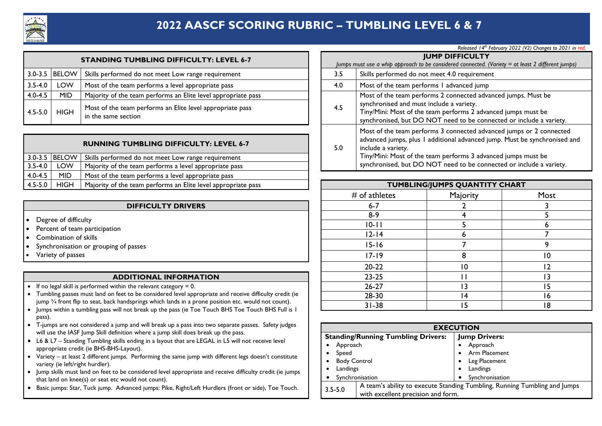

### **2022 AASCF SCORING RUBRIC – TUMBLING LEVEL 6 & 7**

|             |                 | <b>STANDING TUMBLING DIFFICULTY: LEVEL 6-7</b>                                   |     | <b>JUMP DIFFICULTY</b><br>Jumps must use a whip approach to be considered connected. (V                                               |
|-------------|-----------------|----------------------------------------------------------------------------------|-----|---------------------------------------------------------------------------------------------------------------------------------------|
|             | 3.0-3.5   BELOW | Skills performed do not meet Low range requirement                               | 3.5 | Skills performed do not meet 4.0 requirement                                                                                          |
| $3.5 - 4.0$ | <b>LOW</b>      | Most of the team performs a level appropriate pass                               | 4.0 | Most of the team performs I advanced jump                                                                                             |
| $4.0 - 4.5$ | <b>MID</b>      | Majority of the team performs an Elite level appropriate pass                    |     | Most of the team performs 2 connected advar                                                                                           |
| $4.5 - 5.0$ | <b>HIGH</b>     | Most of the team performs an Elite level appropriate pass<br>in the same section | 4.5 | synchronised and must include a variety.<br>Tiny/Mini: Most of the team performs 2 advan<br>synchronised, but DO NOT need to be conne |

|                   |             | <b>RUNNING TUMBLING DIFFICULTY: LEVEL 6-7</b>                 | 5.0 | advanced jumps, plus 1 additional advanced jump. Must be<br>include a variety. |
|-------------------|-------------|---------------------------------------------------------------|-----|--------------------------------------------------------------------------------|
| $3.0 - 3.5$ BELOW |             | Skills performed do not meet Low range requirement            |     | Tiny/Mini: Most of the team performs 3 advanced jumps r                        |
| $3.5 - 4.0$       | LOW         | Majority of the team performs a level appropriate pass        |     | synchronised, but DO NOT need to be connected or inc                           |
| $4.0 - 4.5$       | MID         | Most of the team performs a level appropriate pass            |     |                                                                                |
| $4.5 - 5.0$       | <b>HIGH</b> | Majority of the team performs an Elite level appropriate pass |     | <b>TUMBLING/JUMPS QUANTITY CHART</b>                                           |

|  |  | <b>DIFFICULTY DRIVERS</b> |
|--|--|---------------------------|
|  |  |                           |

- Degree of difficulty
- Percent of team participation
- Combination of skills
- Synchronisation or grouping of passes
- Variety of passes

#### **ADDITIONAL INFORMATION**

- If no legal skill is performed within the relevant category  $= 0$ .
- Tumbling passes must land on feet to be considered level appropriate and receive difficulty credit (ie jump ¾ front flip to seat, back handsprings which lands in a prone position etc. would not count).
- Jumps within a tumbling pass will not break up the pass (ie Toe Touch BHS Toe Touch BHS Full is 1 pass).
- T-jumps are not considered a jump and will break up a pass into two separate passes. Safety judges will use the IASF Jump Skill definition where a jump skill does break up the pass.
- L6 & L7 Standing Tumbling skills ending in a layout that are LEGAL in L5 will not receive level appropriate credit (ie BHS-BHS-Layout).
- Variety at least 2 different jumps. Performing the same jump with different legs doesn't constitute variety (ie left/right hurdler).
- Jump skills must land on feet to be considered level appropriate and receive difficulty credit (ie jumps that land on knee(s) or seat etc would not count).
- Basic jumps: Star, Tuck jump. Advanced jumps: Pike, Right/Left Hurdlers (front or side), Toe Touch.

|     | <b>JUMP DIFFICULTY</b>                                                                                                                                                                                                                                                                                         |
|-----|----------------------------------------------------------------------------------------------------------------------------------------------------------------------------------------------------------------------------------------------------------------------------------------------------------------|
|     | Jumps must use a whip approach to be considered connected. (Variety = at least 2 different jumps)                                                                                                                                                                                                              |
| 3.5 | Skills performed do not meet 4.0 requirement                                                                                                                                                                                                                                                                   |
| 4.0 | Most of the team performs I advanced jump                                                                                                                                                                                                                                                                      |
| 4.5 | Most of the team performs 2 connected advanced jumps. Must be<br>synchronised and must include a variety.<br>Tiny/Mini: Most of the team performs 2 advanced jumps must be<br>synchronised, but DO NOT need to be connected or include a variety.                                                              |
| 5.0 | Most of the team performs 3 connected advanced jumps or 2 connected<br>advanced jumps, plus I additional advanced jump. Must be synchronised and<br>include a variety.<br>Tiny/Mini: Most of the team performs 3 advanced jumps must be<br>synchronised, but DO NOT need to be connected or include a variety. |

| team performs an Elite level appropriate pass                                                                                     |                 | <b>TUMBLING/JUMPS QUANTITY CHART</b> |      |
|-----------------------------------------------------------------------------------------------------------------------------------|-----------------|--------------------------------------|------|
|                                                                                                                                   | $#$ of athletes | Majority                             | Most |
| <b>DIFFICULTY DRIVERS</b>                                                                                                         | $6-7$           |                                      |      |
|                                                                                                                                   | $8-9$           |                                      |      |
|                                                                                                                                   | $10 - 11$       |                                      |      |
|                                                                                                                                   | $12 - 14$       |                                      |      |
| passes                                                                                                                            | $15 - 16$       |                                      |      |
|                                                                                                                                   | $17 - 19$       |                                      | 10   |
|                                                                                                                                   | $20-22$         | 10                                   | 12   |
| <b>DITIONAL INFORMATION</b>                                                                                                       | $23 - 25$       |                                      | 13   |
| the relevant category $= 0$ .                                                                                                     | $26 - 27$       | ۱3                                   | 15   |
| to be considered level appropriate and receive difficulty credit (ie                                                              | 28-30           | 14                                   | 16   |
| dsprings which lands in a prone position etc. would not count).<br>ot break up the pass (ie Toe Touch BHS Toe Touch BHS Full is I | $31 - 38$       | 15                                   | 18   |

|                     | <b>EXECUTION</b>                          |   |                                                                           |
|---------------------|-------------------------------------------|---|---------------------------------------------------------------------------|
|                     | <b>Standing/Running Tumbling Drivers:</b> |   | <b>Jump Drivers:</b>                                                      |
| Approach            |                                           |   | Approach                                                                  |
| Speed               |                                           | ٠ | Arm Placement                                                             |
| <b>Body Control</b> |                                           | ٠ | Leg Placement                                                             |
| Landings            |                                           |   | Landings                                                                  |
| Synchronisation     |                                           |   | Synchronisation                                                           |
| $3.5 - 5.0$         | with excellent precision and form.        |   | A team's ability to execute Standing Tumbling, Running Tumbling and Jumps |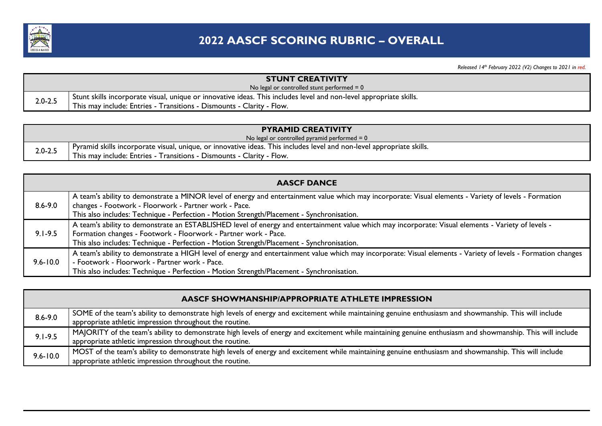

|             | <b>STUNT CREATIVITY</b>                                                                                            |
|-------------|--------------------------------------------------------------------------------------------------------------------|
|             | No legal or controlled stunt performed $= 0$                                                                       |
| $2.0 - 2.5$ | Stunt skills incorporate visual, unique or innovative ideas. This includes level and non-level appropriate skills. |
|             | This may include: Entries - Transitions - Dismounts - Clarity - Flow.                                              |

|             | <b>PYRAMID CREATIVITY</b>                                                                                             |
|-------------|-----------------------------------------------------------------------------------------------------------------------|
|             | No legal or controlled pyramid performed $= 0$                                                                        |
| $2.0 - 2.5$ | Pyramid skills incorporate visual, unique, or innovative ideas. This includes level and non-level appropriate skills. |
|             | This may include: Entries - Transitions - Dismounts - Clarity - Flow.                                                 |

|              | <b>AASCF DANCE</b>                                                                                                                                            |
|--------------|---------------------------------------------------------------------------------------------------------------------------------------------------------------|
|              | A team's ability to demonstrate a MINOR level of energy and entertainment value which may incorporate: Visual elements - Variety of levels - Formation        |
| $8.6 - 9.0$  | changes - Footwork - Floorwork - Partner work - Pace.                                                                                                         |
|              | This also includes: Technique - Perfection - Motion Strength/Placement - Synchronisation.                                                                     |
|              | A team's ability to demonstrate an ESTABLISHED level of energy and entertainment value which may incorporate: Visual elements - Variety of levels -           |
| $9.1 - 9.5$  | Formation changes - Footwork - Floorwork - Partner work - Pace.                                                                                               |
|              | This also includes: Technique - Perfection - Motion Strength/Placement - Synchronisation.                                                                     |
|              | A team's ability to demonstrate a HIGH level of energy and entertainment value which may incorporate: Visual elements - Variety of levels - Formation changes |
| $9.6 - 10.0$ | - Footwork - Floorwork - Partner work - Pace.                                                                                                                 |
|              | This also includes: Technique - Perfection - Motion Strength/Placement - Synchronisation.                                                                     |

|              | <b>AASCF SHOWMANSHIP/APPROPRIATE ATHLETE IMPRESSION</b>                                                                                                                                                               |
|--------------|-----------------------------------------------------------------------------------------------------------------------------------------------------------------------------------------------------------------------|
| $8.6 - 9.0$  | SOME of the team's ability to demonstrate high levels of energy and excitement while maintaining genuine enthusiasm and showmanship. This will include<br>appropriate athletic impression throughout the routine.     |
| $9.1 - 9.5$  | MAJORITY of the team's ability to demonstrate high levels of energy and excitement while maintaining genuine enthusiasm and showmanship. This will include<br>appropriate athletic impression throughout the routine. |
| $9.6 - 10.0$ | MOST of the team's ability to demonstrate high levels of energy and excitement while maintaining genuine enthusiasm and showmanship. This will include<br>appropriate athletic impression throughout the routine.     |